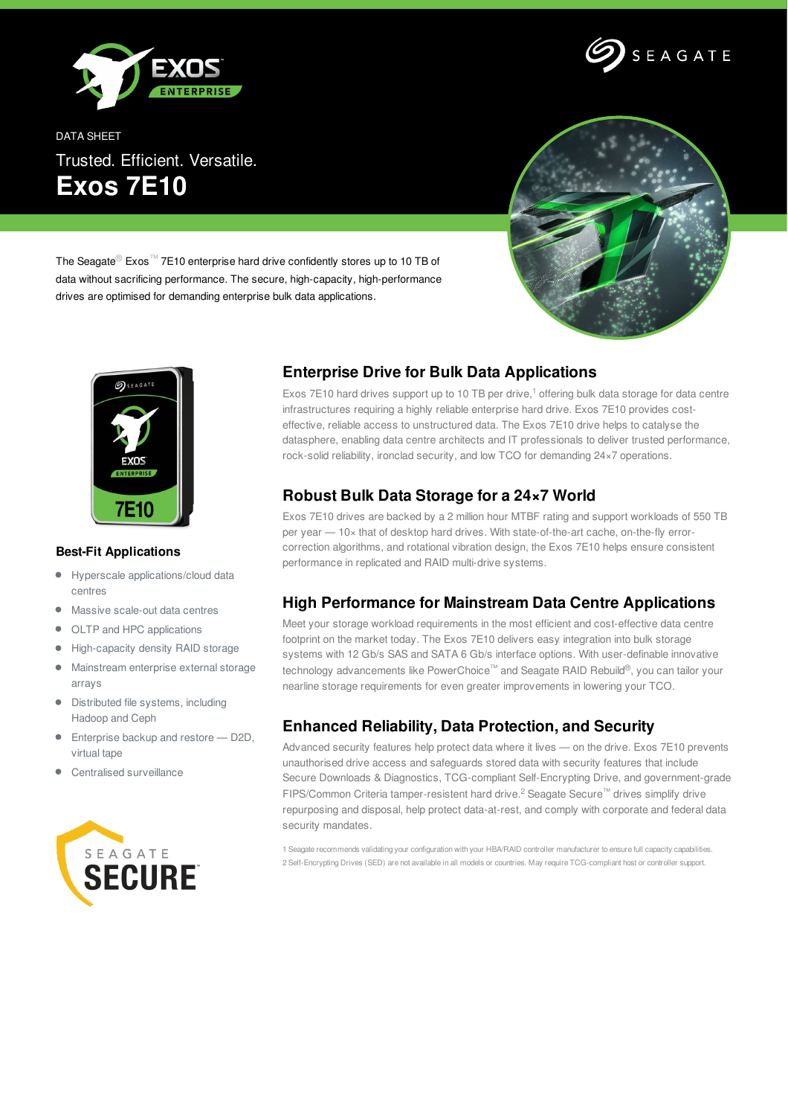



DATA SHEET Trusted. Efficient. Versatile. **Exos 7E10**



The Seagate® Exos™ 7E10 enterprise hard drive confidently stores up to 10 TB of data without sacrificing performance. The secure, high-capacity, high-performance drives are optimised for demanding enterprise bulk data applications.



#### **Best-Fit Applications**

- Hyperscale applications/cloud data centres
- Massive scale-out data centres
- OLTP and HPC applications  $\bullet$
- High-capacity density RAID storage  $\bullet$
- Mainstream enterprise external storage  $\bullet$ arrays
- Distributed file systems, including Hadoop and Ceph
- Enterprise backup and restore D2D, virtual tape
- Centralised surveillance



# **Enterprise Drive for Bulk Data Applications**

Exos 7E10 hard drives support up to 10 TB per drive, <sup>1</sup> offering bulk data storage for data centre infrastructures requiring a highly reliable enterprise hard drive. Exos 7E10 provides costeffective, reliable access to unstructured data. The Exos 7E10 drive helps to catalyse the datasphere, enabling data centre architects and IT professionals to deliver trusted performance, rock-solid reliability, ironclad security, and low TCO for demanding 24×7 operations.

#### **Robust Bulk Data Storage for a 24×7 World**

Exos 7E10 drives are backed by a 2 million hour MTBF rating and support workloads of 550 TB per year — 10× that of desktop hard drives. With state-of-the-art cache, on-the-fly errorcorrection algorithms, and rotational vibration design, the Exos 7E10 helps ensure consistent performance in replicated and RAID multi-drive systems.

# **High Performance for Mainstream Data Centre Applications**

Meet your storage workload requirements in the most efficient and cost-effective data centre footprint on the market today. The Exos 7E10 delivers easy integration into bulk storage systems with 12 Gb/s SAS and SATA 6 Gb/s interface options. With user-definable innovative technology advancements like PowerChoice™ and Seagate RAID Rebuild®, you can tailor your nearline storage requirements for even greater improvements in lowering your TCO.

# **Enhanced Reliability, Data Protection, and Security**

Advanced security features help protect data where it lives - on the drive. Exos 7E10 prevents unauthorised drive access and safeguards stored data with security features that include Secure Downloads & Diagnostics, TCG-compliant Self-Encrypting Drive, and government-grade FIPS/Common Criteria tamper-resistent hard drive.<sup>2</sup> Seagate Secure<sup>™</sup> drives simplify drive repurposing and disposal, help protect data-at-rest, and comply with corporate and federal data security mandates.

1 Seagate recommends validating your configuration with your HBA/RAID controller manufacturer to ensure full capacity capabilities. 2 Self-Encrypting Drives (SED) are not available in all models or countries. May require TCG-compliant host or controller support.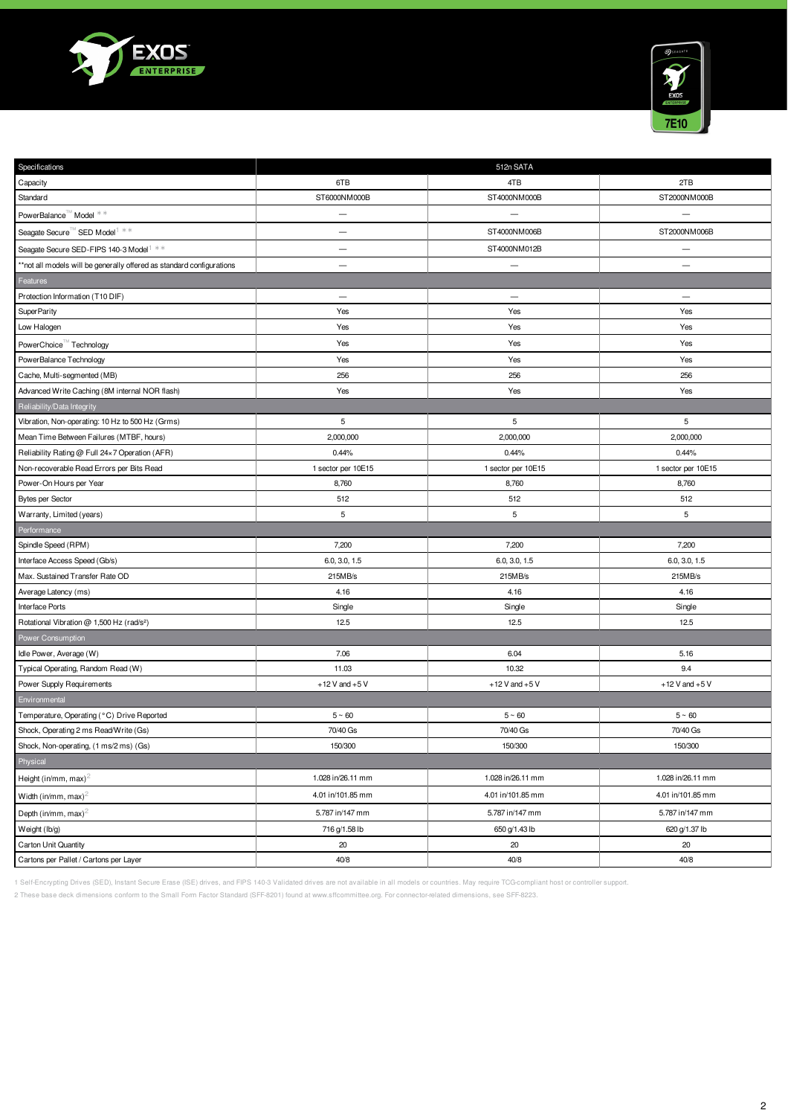



| Specifications                                                        |                          | 512n SATA                |                          |
|-----------------------------------------------------------------------|--------------------------|--------------------------|--------------------------|
| Capacity                                                              | 6TB                      | 4TB                      | 2TB                      |
| Standard                                                              | ST6000NM000B             | ST4000NM000B             | ST2000NM000B             |
| PowerBalance™ Model **                                                | $\overline{\phantom{0}}$ |                          |                          |
| Seagate Secure <sup>™</sup> SED Model <sup>1 **</sup>                 |                          | ST4000NM006B             | ST2000NM006B             |
| Seagate Secure SED-FIPS 140-3 Model <sup>1 **</sup>                   | $\overline{\phantom{0}}$ | ST4000NM012B             |                          |
| **not all models will be generally offered as standard configurations | $\qquad \qquad -$        | $\overline{\phantom{0}}$ |                          |
| Features                                                              |                          |                          |                          |
| Protection Information (T10 DIF)                                      | $\overline{\phantom{m}}$ | $\qquad \qquad -$        | $\overline{\phantom{m}}$ |
| SuperParity                                                           | Yes                      | Yes                      | Yes                      |
| Low Halogen                                                           | Yes                      | Yes                      | Yes                      |
| PowerChoice Technology                                                | Yes                      | Yes                      | Yes                      |
| PowerBalance Technology                                               | Yes                      | Yes                      | Yes                      |
| Cache, Multi-segmented (MB)                                           | 256                      | 256                      | 256                      |
| Advanced Write Caching (8M internal NOR flash)                        | Yes                      | Yes                      | Yes                      |
| Reliability/Data Integrity                                            |                          |                          |                          |
| Vibration, Non-operating: 10 Hz to 500 Hz (Grms)                      | 5                        | 5                        | 5                        |
| Mean Time Between Failures (MTBF, hours)                              | 2,000,000                | 2,000,000                | 2,000,000                |
| Reliability Rating @ Full 24×7 Operation (AFR)                        | 0.44%                    | 0.44%                    | 0.44%                    |
| Non-recoverable Read Errors per Bits Read                             | 1 sector per 10E15       | 1 sector per 10E15       | 1 sector per 10E15       |
| Power-On Hours per Year                                               | 8,760                    | 8,760                    | 8,760                    |
| <b>Bytes per Sector</b>                                               | 512                      | 512                      | 512                      |
| Warranty, Limited (years)                                             | 5                        | 5                        | 5                        |
| Performance                                                           |                          |                          |                          |
| Spindle Speed (RPM)                                                   | 7,200                    | 7,200                    | 7,200                    |
| Interface Access Speed (Gb/s)                                         | 6.0, 3.0, 1.5            | 6.0, 3.0, 1.5            | 6.0, 3.0, 1.5            |
| Max. Sustained Transfer Rate OD                                       | 215MB/s                  | 215MB/s                  | 215MB/s                  |
| Average Latency (ms)                                                  | 4.16                     | 4.16                     | 4.16                     |
| Interface Ports                                                       | Single                   | Single                   | Single                   |
| Rotational Vibration @ 1,500 Hz (rad/s <sup>2</sup> )                 | 12.5                     | 12.5                     | 12.5                     |
| Power Consumption                                                     |                          |                          |                          |
| Idle Power, Average (W)                                               | 7.06                     | 6.04                     | 5.16                     |
| Typical Operating, Random Read (W)                                    | 11.03                    | 10.32                    | 9.4                      |
| Power Supply Requirements                                             | $+12$ V and $+5$ V       | $+12$ V and $+5$ V       | $+12$ V and $+5$ V       |
| Environmental                                                         |                          |                          |                          |
| Temperature, Operating (°C) Drive Reported                            | $5 \sim 60$              | $5 \sim 60$              | $5~\sim~60$              |
| Shock, Operating 2 ms Read/Write (Gs)                                 | 70/40 Gs                 | 70/40 Gs                 | 70/40 Gs                 |
| Shock, Non-operating, (1 ms/2 ms) (Gs)                                | 150/300                  | 150/300                  | 150/300                  |
| Physical                                                              |                          |                          |                          |
| Height (in/mm, max) <sup>2</sup>                                      | 1.028 in/26.11 mm        | 1.028 in/26.11 mm        | 1.028 in/26.11 mm        |
| Width (in/mm, max) <sup>2</sup>                                       | 4.01 in/101.85 mm        | 4.01 in/101.85 mm        | 4.01 in/101.85 mm        |
| Depth (in/mm, max) <sup>2</sup>                                       | 5.787 in/147 mm          | 5.787 in/147 mm          | 5.787 in/147 mm          |
| Weight (lb/g)                                                         | 716 g/1.58 lb            | 650 g/1.43 lb            | 620 g/1.37 lb            |
| Carton Unit Quantity                                                  | 20                       | 20                       | 20                       |
| Cartons per Pallet / Cartons per Layer                                | 40/8                     | 40/8                     | 40/8                     |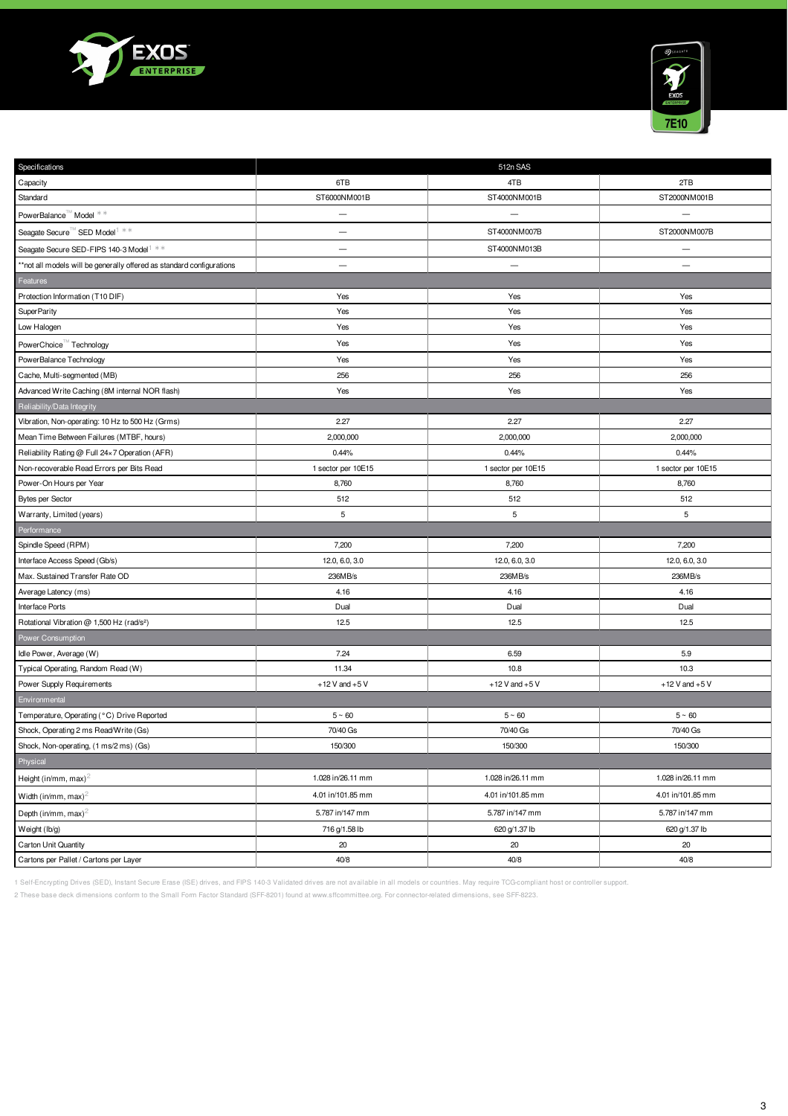



| Specifications                                                        |                          | 512n SAS           |                          |
|-----------------------------------------------------------------------|--------------------------|--------------------|--------------------------|
| Capacity                                                              | 6TB                      | 4TB                | 2TB                      |
| Standard                                                              | ST6000NM001B             | ST4000NM001B       | ST2000NM001B             |
| PowerBalance™ Model **                                                | $\overline{\phantom{0}}$ |                    |                          |
| Seagate Secure <sup>™</sup> SED Model <sup>1</sup> **                 | —                        | ST4000NM007B       | ST2000NM007B             |
| Seagate Secure SED-FIPS 140-3 Model <sup>1 **</sup>                   | $\qquad \qquad -$        | ST4000NM013B       | $\overline{\phantom{m}}$ |
| **not all models will be generally offered as standard configurations | $\qquad \qquad -$        |                    |                          |
| Features                                                              |                          |                    |                          |
| Protection Information (T10 DIF)                                      | Yes                      | Yes                | Yes                      |
| SuperParity                                                           | Yes                      | Yes                | Yes                      |
| Low Halogen                                                           | Yes                      | Yes                | Yes                      |
| PowerChoice <sup>™</sup> Technology                                   | Yes                      | Yes                | Yes                      |
| PowerBalance Technology                                               | Yes                      | Yes                | Yes                      |
| Cache, Multi-segmented (MB)                                           | 256                      | 256                | 256                      |
| Advanced Write Caching (8M internal NOR flash)                        | Yes                      | Yes                | Yes                      |
| Reliability/Data Integrity                                            |                          |                    |                          |
| Vibration, Non-operating: 10 Hz to 500 Hz (Grms)                      | 2.27                     | 2.27               | 2.27                     |
| Mean Time Between Failures (MTBF, hours)                              | 2,000,000                | 2,000,000          | 2,000,000                |
| Reliability Rating @ Full 24×7 Operation (AFR)                        | 0.44%                    | 0.44%              | 0.44%                    |
| Non-recoverable Read Errors per Bits Read                             | 1 sector per 10E15       | 1 sector per 10E15 | 1 sector per 10E15       |
| Power-On Hours per Year                                               | 8,760                    | 8,760              | 8,760                    |
| <b>Bytes per Sector</b>                                               | 512                      | 512                | 512                      |
| Warranty, Limited (years)                                             | $\,$ 5 $\,$              | 5                  | 5                        |
| Performance                                                           |                          |                    |                          |
| Spindle Speed (RPM)                                                   | 7,200                    | 7,200              | 7,200                    |
| Interface Access Speed (Gb/s)                                         | 12.0, 6.0, 3.0           | 12.0, 6.0, 3.0     | 12.0, 6.0, 3.0           |
| Max. Sustained Transfer Rate OD                                       | 236MB/s                  | 236MB/s            | 236MB/s                  |
| Average Latency (ms)                                                  | 4.16                     | 4.16               | 4.16                     |
| Interface Ports                                                       | Dual                     | Dual               | Dual                     |
| Rotational Vibration @ 1,500 Hz (rad/s <sup>2</sup> )                 | 12.5                     | 12.5               | 12.5                     |
| Power Consumption                                                     |                          |                    |                          |
| Idle Power, Average (W)                                               | 7.24                     | 6.59               | 5.9                      |
| Typical Operating, Random Read (W)                                    | 11.34                    | 10.8               | 10.3                     |
| Power Supply Requirements                                             | $+12$ V and $+5$ V       | $+12$ V and $+5$ V | $+12$ V and $+5$ V       |
| Environmental                                                         |                          |                    |                          |
| Temperature, Operating (°C) Drive Reported                            | $5 \sim 60$              | $5 \sim 60$        | $5~\sim~60$              |
| Shock, Operating 2 ms Read/Write (Gs)                                 |                          |                    |                          |
| Shock, Non-operating, (1 ms/2 ms) (Gs)                                | 70/40 Gs                 | 70/40 Gs           | 70/40 Gs                 |
|                                                                       | 150/300                  | 150/300            | 150/300                  |
| Physical                                                              |                          |                    |                          |
|                                                                       | 1.028 in/26.11 mm        | 1.028 in/26.11 mm  | 1.028 in/26.11 mm        |
| Width (in/mm, max) <sup>2</sup>                                       | 4.01 in/101.85 mm        | 4.01 in/101.85 mm  | 4.01 in/101.85 mm        |
| Height (in/mm, max) <sup>2</sup><br>Depth (in/mm, max) <sup>2</sup>   | 5.787 in/147 mm          | 5.787 in/147 mm    | 5.787 in/147 mm          |
| Weight (lb/g)                                                         | 716 g/1.58 lb            | 620 g/1.37 lb      | 620 g/1.37 lb            |
| Carton Unit Quantity                                                  | 20                       | 20                 | 20                       |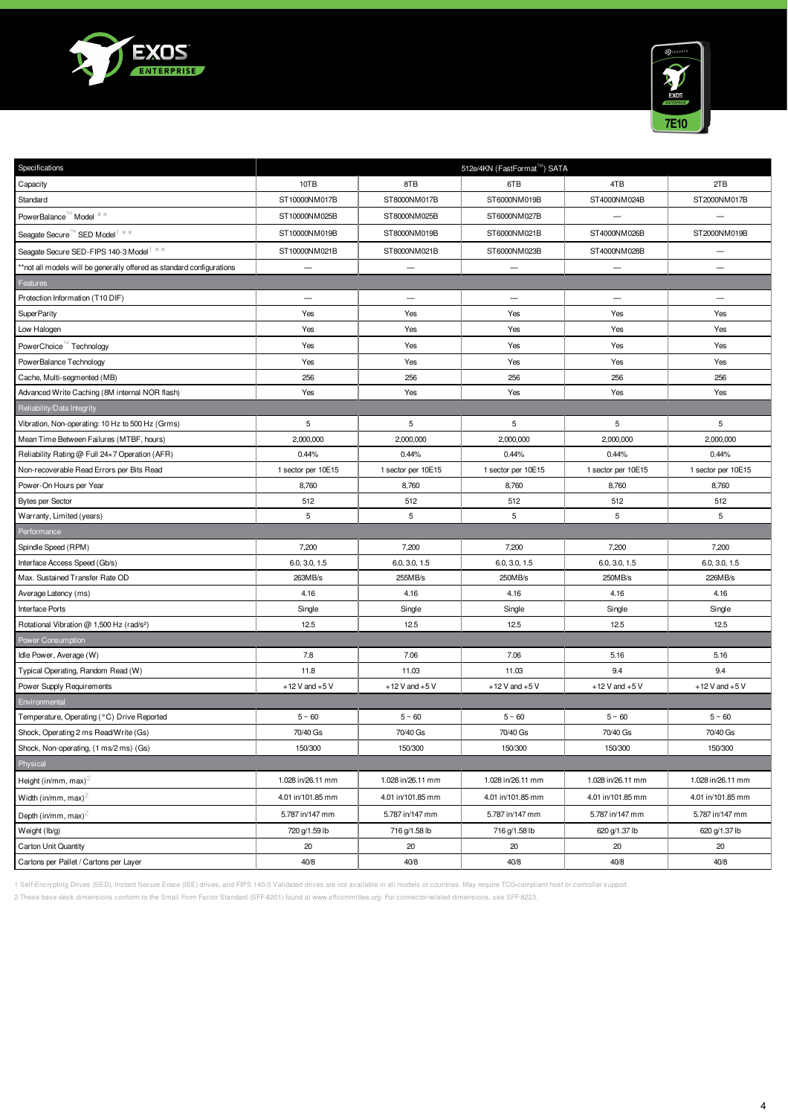



| Specifications                                                       |                          |                          | 512e/4KN (FastFormat™) SATA |                          |                          |
|----------------------------------------------------------------------|--------------------------|--------------------------|-----------------------------|--------------------------|--------------------------|
| Capacity                                                             | 10TB                     | 8TB                      | 6TB                         | 4TB                      | 2TB                      |
| Standard                                                             | ST10000NM017B            | ST8000NM017B             | ST6000NM019B                | ST4000NM024B             | ST2000NM017B             |
| PowerBalance™ Model **                                               | ST10000NM025B            | ST8000NM025B             | ST6000NM027B                |                          |                          |
| Seagate Secure <sup>™</sup> SED Model <sup>1</sup> **                | ST10000NM019B            | ST8000NM019B             | ST6000NM021B                | ST4000NM026B             | ST2000NM019B             |
| Seagate Secure SED-FIPS 140-3 Model <sup>1 **</sup>                  | ST10000NM021B            | ST8000NM021B             | ST6000NM023B                | ST4000NM028B             |                          |
| *not all models will be generally offered as standard configurations |                          |                          |                             |                          |                          |
| Features                                                             |                          |                          |                             |                          |                          |
| Protection Information (T10 DIF)                                     | $\overline{\phantom{0}}$ | $\overline{\phantom{m}}$ | $\overline{\phantom{0}}$    | $\overline{\phantom{0}}$ | $\overline{\phantom{0}}$ |
| SuperParity                                                          | Yes                      | Yes                      | Yes                         | Yes                      | Yes                      |
| Low Halogen                                                          | Yes                      | Yes                      | Yes                         | Yes                      | Yes                      |
| PowerChoice Technology                                               | Yes                      | Yes                      | Yes                         | Yes                      | Yes                      |
| PowerBalance Technology                                              | Yes                      | Yes                      | Yes                         | Yes                      | Yes                      |
| Cache, Multi-segmented (MB)                                          | 256                      | 256                      | 256                         | 256                      | 256                      |
| Advanced Write Caching (8M internal NOR flash)                       | Yes                      | Yes                      | Yes                         | Yes                      | Yes                      |
| Reliability/Data Integrity                                           |                          |                          |                             |                          |                          |
| Vibration, Non-operating: 10 Hz to 500 Hz (Grms)                     | 5                        | 5                        | 5                           | 5                        | 5                        |
| Mean Time Between Failures (MTBF, hours)                             | 2,000,000                | 2,000,000                | 2,000,000                   | 2,000,000                | 2,000,000                |
| Reliability Rating @ Full 24×7 Operation (AFR)                       | 0.44%                    | 0.44%                    | 0.44%                       | 0.44%                    | 0.44%                    |
| Non-recoverable Read Errors per Bits Read                            | 1 sector per 10E15       | 1 sector per 10E15       | 1 sector per 10E15          | 1 sector per 10E15       | 1 sector per 10E15       |
| Power-On Hours per Year                                              | 8,760                    | 8,760                    | 8,760                       | 8,760                    | 8,760                    |
| <b>Bytes per Sector</b>                                              | 512                      | 512                      | 512                         | 512                      | 512                      |
| Warranty, Limited (years)                                            | 5                        | 5                        | 5                           | 5                        | 5                        |
| Performance                                                          |                          |                          |                             |                          |                          |
| Spindle Speed (RPM)                                                  | 7,200                    | 7,200                    | 7,200                       | 7,200                    | 7,200                    |
| Interface Access Speed (Gb/s)                                        | 6.0, 3.0, 1.5            | 6.0, 3.0, 1.5            | 6.0, 3.0, 1.5               | 6.0, 3.0, 1.5            | 6.0, 3.0, 1.5            |
| Max. Sustained Transfer Rate OD                                      | 263MB/s                  | 255MB/s                  | 250MB/s                     | 250MB/s                  | 226MB/s                  |
| Average Latency (ms)                                                 | 4.16                     | 4.16                     | 4.16                        | 4.16                     | 4.16                     |
| <b>Interface Ports</b>                                               | Single                   | Single                   | Single                      | Single                   | Single                   |
| Rotational Vibration @ 1,500 Hz (rad/s <sup>2</sup> )                | 12.5                     | 12.5                     | 12.5                        | 12.5                     | 12.5                     |
| Power Consumption                                                    |                          |                          |                             |                          |                          |
| Idle Power, Average (W)                                              | 7.8                      | 7.06                     | 7.06                        | 5.16                     | 5.16                     |
| Typical Operating, Random Read (W)                                   | 11.8                     | 11.03                    | 11.03                       | 9.4                      | 9.4                      |
| Power Supply Requirements                                            | $+12$ V and $+5$ V       | $+12$ V and $+5$ V       | $+12$ V and $+5$ V          | $+12$ V and $+5$ V       | $+12$ V and $+5$ V       |
| Environmental                                                        |                          |                          |                             |                          |                          |
| Temperature, Operating (°C) Drive Reported                           | $5~\sim~60$              | $5~\textdegree~60$       | $5~\sim~60$                 | $5~\textdegree~60$       | $5~\sim~60$              |
| Shock, Operating 2 ms Read/Write (Gs)                                | 70/40 Gs                 | 70/40 Gs                 | 70/40 Gs                    | 70/40 Gs                 | 70/40 Gs                 |
| Shock, Non-operating, (1 ms/2 ms) (Gs)                               | 150/300                  | 150/300                  | 150/300                     | 150/300                  | 150/300                  |
| Physical                                                             |                          |                          |                             |                          |                          |
| Height (in/mm, max) <sup>2</sup>                                     | 1.028 in/26.11 mm        | 1.028 in/26.11 mm        | 1.028 in/26.11 mm           | 1.028 in/26.11 mm        | 1.028 in/26.11 mm        |
| Width (in/mm, max) <sup><math>2</math></sup>                         | 4.01 in/101.85 mm        | 4.01 in/101.85 mm        | 4.01 in/101.85 mm           | 4.01 in/101.85 mm        | 4.01 in/101.85 mm        |
| Depth (in/mm, max) <sup>2</sup>                                      | 5.787 in/147 mm          | 5.787 in/147 mm          | 5.787 in/147 mm             | 5.787 in/147 mm          | 5.787 in/147 mm          |
| Weight (lb/g)                                                        | 720 g/1.59 lb            | 716 g/1.58 lb            | 716 g/1.58 lb               | 620 g/1.37 lb            | 620 g/1.37 lb            |
| <b>Carton Unit Quantity</b>                                          | 20                       | 20                       | 20                          | 20                       | 20                       |
| Cartons per Pallet / Cartons per Layer                               | 40/8                     | 40/8                     | 40/8                        | 40/8                     | 40/8                     |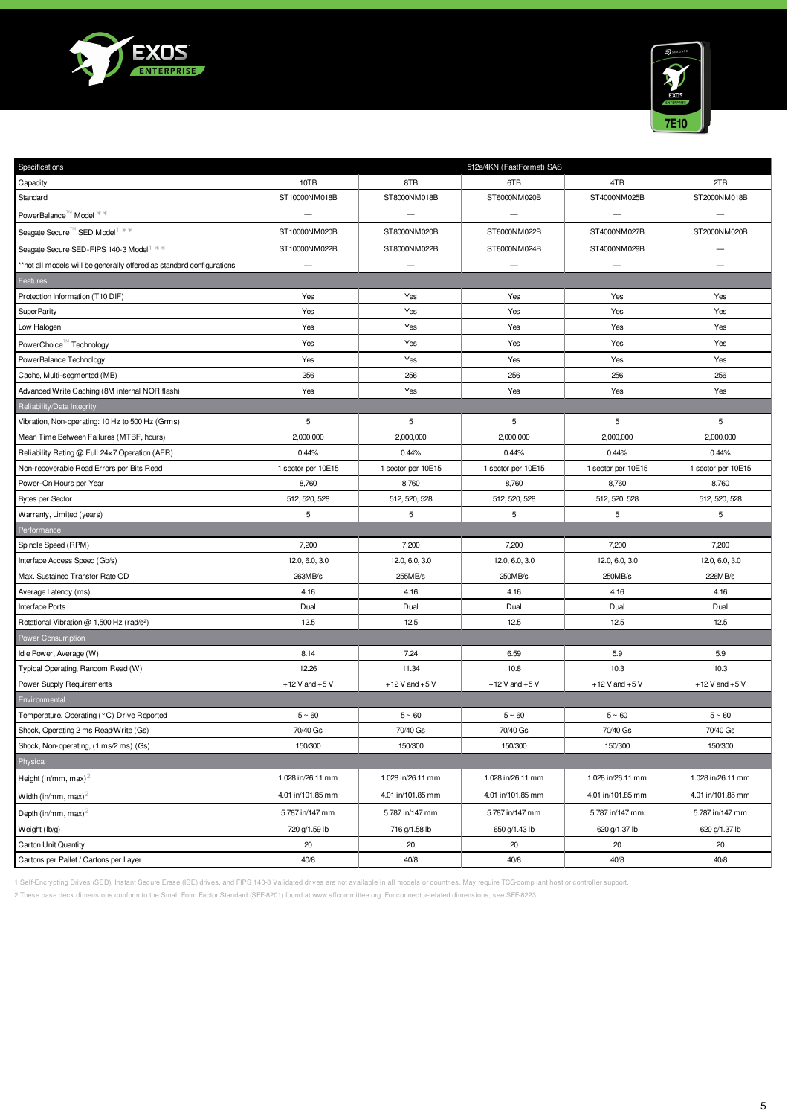



| Specifications                                                        | 512e/4KN (FastFormat) SAS |                          |                    |                    |                    |
|-----------------------------------------------------------------------|---------------------------|--------------------------|--------------------|--------------------|--------------------|
| Capacity                                                              | 10TB                      | 8TB                      | 6TB                | 4TB                | 2TB                |
| Standard                                                              | ST10000NM018B             | ST8000NM018B             | ST6000NM020B       | ST4000NM025B       | ST2000NM018B       |
| PowerBalance <sup>™</sup> Model **                                    |                           |                          |                    |                    |                    |
| Seagate Secure SED Model <sup>1 **</sup>                              | ST10000NM020B             | ST8000NM020B             | ST6000NM022B       | ST4000NM027B       | ST2000NM020B       |
| Seagate Secure SED-FIPS 140-3 Model <sup>1 **</sup>                   | ST10000NM022B             | ST8000NM022B             | ST6000NM024B       | ST4000NM029B       | $\qquad \qquad -$  |
| **not all models will be generally offered as standard configurations | $\qquad \qquad -$         | $\overline{\phantom{m}}$ |                    |                    |                    |
| Features                                                              |                           |                          |                    |                    |                    |
| Protection Information (T10 DIF)                                      | Yes                       | Yes                      | Yes                | Yes                | Yes                |
| SuperParity                                                           | Yes                       | Yes                      | Yes                | Yes                | Yes                |
| Low Halogen                                                           | Yes                       | Yes                      | Yes                | Yes                | Yes                |
| PowerChoice Technology                                                | Yes                       | Yes                      | Yes                | Yes                | Yes                |
| PowerBalance Technology                                               | Yes                       | Yes                      | Yes                | Yes                | Yes                |
| Cache, Multi-segmented (MB)                                           | 256                       | 256                      | 256                | 256                | 256                |
| Advanced Write Caching (8M internal NOR flash)                        | Yes                       | Yes                      | Yes                | Yes                | Yes                |
| Reliability/Data Integrity                                            |                           |                          |                    |                    |                    |
| Vibration, Non-operating: 10 Hz to 500 Hz (Grms)                      | 5                         | 5                        | 5                  | 5                  | 5                  |
| Mean Time Between Failures (MTBF, hours)                              | 2,000,000                 | 2,000,000                | 2,000,000          | 2,000,000          | 2,000,000          |
| Reliability Rating @ Full 24×7 Operation (AFR)                        | 0.44%                     | 0.44%                    | 0.44%              | 0.44%              | 0.44%              |
| Non-recoverable Read Errors per Bits Read                             | 1 sector per 10E15        | 1 sector per 10E15       | 1 sector per 10E15 | 1 sector per 10E15 | 1 sector per 10E15 |
| Power-On Hours per Year                                               | 8,760                     | 8,760                    | 8,760              | 8,760              | 8,760              |
| <b>Bytes per Sector</b>                                               | 512, 520, 528             | 512, 520, 528            | 512, 520, 528      | 512, 520, 528      | 512, 520, 528      |
| Warranty, Limited (years)                                             | 5                         | 5                        | 5                  | 5                  | 5                  |
|                                                                       |                           |                          |                    |                    |                    |
| Performance                                                           |                           |                          |                    |                    |                    |
| Spindle Speed (RPM)                                                   | 7,200                     | 7,200                    | 7,200              | 7,200              | 7,200              |
| Interface Access Speed (Gb/s)                                         | 12.0, 6.0, 3.0            | 12.0, 6.0, 3.0           | 12.0, 6.0, 3.0     | 12.0, 6.0, 3.0     | 12.0, 6.0, 3.0     |
| Max. Sustained Transfer Rate OD                                       | 263MB/s                   | 255MB/s                  | 250MB/s            | 250MB/s            | 226MB/s            |
| Average Latency (ms)                                                  | 4.16                      | 4.16                     | 4.16               | 4.16               | 4.16               |
| Interface Ports                                                       | Dual                      | Dual                     | Dual               | Dual               | Dual               |
| Rotational Vibration @ 1,500 Hz (rad/s <sup>2</sup> )                 | 12.5                      | 12.5                     | 12.5               | 12.5               | 12.5               |
| Power Consumption                                                     |                           |                          |                    |                    |                    |
| Idle Power, Average (W)                                               | 8.14                      | 7.24                     | 6.59               | 5.9                | 5.9                |
| Typical Operating, Random Read (W)                                    | 12.26                     | 11.34                    | 10.8               | 10.3               | 10.3               |
| Power Supply Requirements                                             | $+12$ V and $+5$ V        | $+12$ V and $+5$ V       | $+12$ V and $+5$ V | $+12$ V and $+5$ V | $+12$ V and $+5$ V |
| Environmental                                                         |                           |                          |                    |                    |                    |
| Temperature, Operating (°C) Drive Reported                            | $5~\sim~60$               | $5~\sim~60$              | $5~\sim~60$        | $5~\sim~60$        | $5~\sim~60$        |
| Shock, Operating 2 ms Read/Write (Gs)                                 | 70/40 Gs                  | 70/40 Gs                 | 70/40 Gs           | 70/40 Gs           | 70/40 Gs           |
| Shock, Non-operating, (1 ms/2 ms) (Gs)                                | 150/300                   | 150/300                  | 150/300            | 150/300            | 150/300            |
| Physical                                                              |                           |                          |                    |                    |                    |
| Height (in/mm, max) <sup>2</sup>                                      | 1.028 in/26.11 mm         | 1.028 in/26.11 mm        | 1.028 in/26.11 mm  | 1.028 in/26.11 mm  | 1.028 in/26.11 mm  |
| Width (in/mm, max) <sup>2</sup>                                       | 4.01 in/101.85 mm         | 4.01 in/101.85 mm        | 4.01 in/101.85 mm  | 4.01 in/101.85 mm  | 4.01 in/101.85 mm  |
| Depth (in/mm, max) <sup>2</sup>                                       | 5.787 in/147 mm           | 5.787 in/147 mm          | 5.787 in/147 mm    | 5.787 in/147 mm    | 5.787 in/147 mm    |
| Weight (lb/g)                                                         | 720 g/1.59 lb             | 716 g/1.58 lb            | 650 g/1.43 lb      | 620 g/1.37 lb      | 620 g/1.37 lb      |
| Carton Unit Quantity                                                  | 20                        | 20                       | 20                 | 20                 | 20                 |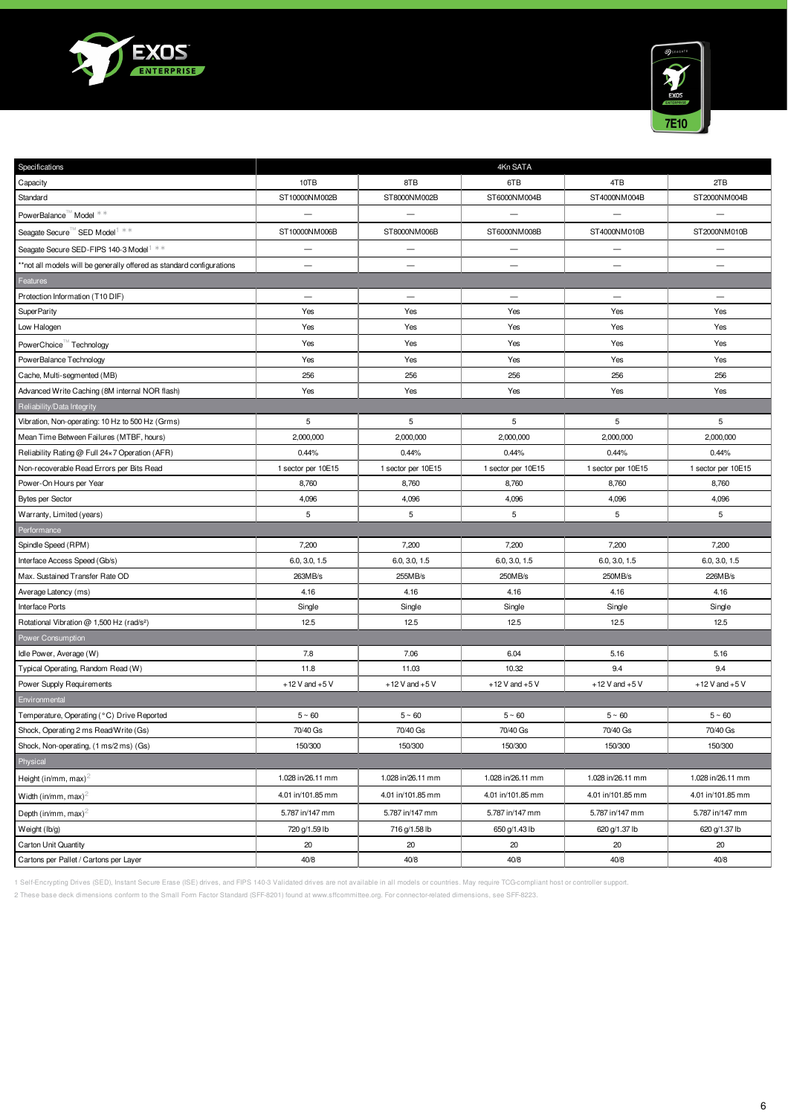



| Specifications                                                        |                          |                    | 4Kn SATA                 |                          |                          |
|-----------------------------------------------------------------------|--------------------------|--------------------|--------------------------|--------------------------|--------------------------|
| Capacity                                                              | 10TB                     | 8TB                | 6TB                      | 4TB                      | 2TB                      |
| Standard                                                              | ST10000NM002B            | ST8000NM002B       | ST6000NM004B             | ST4000NM004B             | ST2000NM004B             |
| PowerBalance <sup>™</sup> Model **                                    |                          |                    |                          |                          |                          |
| Seagate Secure SED Model <sup>1 **</sup>                              | ST10000NM006B            | ST8000NM006B       | ST6000NM008B             | ST4000NM010B             | ST2000NM010B             |
| Seagate Secure SED-FIPS 140-3 Model <sup>1 **</sup>                   | $\overline{\phantom{0}}$ | $\qquad \qquad -$  |                          | $\overline{\phantom{0}}$ |                          |
| **not all models will be generally offered as standard configurations | $\overline{\phantom{0}}$ |                    | $\overline{\phantom{a}}$ | $\overline{\phantom{0}}$ |                          |
| Features                                                              |                          |                    |                          |                          |                          |
| Protection Information (T10 DIF)                                      | $\overline{\phantom{0}}$ | $\qquad \qquad -$  | $\overline{\phantom{m}}$ | $\qquad \qquad -$        | $\overline{\phantom{m}}$ |
| SuperParity                                                           | Yes                      | Yes                | Yes                      | Yes                      | Yes                      |
| Low Halogen                                                           | Yes                      | Yes                | Yes                      | Yes                      | Yes                      |
| PowerChoice Technology                                                | Yes                      | Yes                | Yes                      | Yes                      | Yes                      |
| PowerBalance Technology                                               | Yes                      | Yes                | Yes                      | Yes                      | Yes                      |
| Cache, Multi-segmented (MB)                                           | 256                      | 256                | 256                      | 256                      | 256                      |
| Advanced Write Caching (8M internal NOR flash)                        | Yes                      | Yes                | Yes                      | Yes                      | Yes                      |
| Reliability/Data Integrity                                            |                          |                    |                          |                          |                          |
| Vibration, Non-operating: 10 Hz to 500 Hz (Grms)                      | 5                        | $\,$ 5 $\,$        | 5                        | 5                        | 5                        |
| Mean Time Between Failures (MTBF, hours)                              | 2,000,000                | 2,000,000          | 2,000,000                | 2,000,000                | 2,000,000                |
| Reliability Rating @ Full 24×7 Operation (AFR)                        | 0.44%                    | 0.44%              | 0.44%                    | 0.44%                    | 0.44%                    |
| Non-recoverable Read Errors per Bits Read                             | 1 sector per 10E15       | 1 sector per 10E15 | 1 sector per 10E15       | 1 sector per 10E15       | 1 sector per 10E15       |
| Power-On Hours per Year                                               | 8,760                    | 8,760              | 8,760                    | 8,760                    | 8,760                    |
| <b>Bytes per Sector</b>                                               | 4,096                    | 4,096              | 4,096                    | 4,096                    | 4,096                    |
| Warranty, Limited (years)                                             | 5                        | 5                  | 5                        | 5                        | 5                        |
| Performance                                                           |                          |                    |                          |                          |                          |
| Spindle Speed (RPM)                                                   | 7,200                    | 7,200              | 7,200                    | 7,200                    | 7,200                    |
| Interface Access Speed (Gb/s)                                         | 6.0, 3.0, 1.5            | 6.0, 3.0, 1.5      | 6.0, 3.0, 1.5            | 6.0, 3.0, 1.5            | 6.0, 3.0, 1.5            |
| Max. Sustained Transfer Rate OD                                       | 263MB/s                  | 255MB/s            | 250MB/s                  | 250MB/s                  | 226MB/s                  |
| Average Latency (ms)                                                  | 4.16                     | 4.16               | 4.16                     | 4.16                     | 4.16                     |
| Interface Ports                                                       | Single                   | Single             | Single                   | Single                   | Single                   |
| Rotational Vibration @ 1,500 Hz (rad/s <sup>2</sup> )                 | 12.5                     | 12.5               | 12.5                     | 12.5                     | 12.5                     |
| Power Consumption                                                     |                          |                    |                          |                          |                          |
| Idle Power, Average (W)                                               | 7.8                      | 7.06               | 6.04                     | 5.16                     | 5.16                     |
| Typical Operating, Random Read (W)                                    | 11.8                     | 11.03              | 10.32                    | 9.4                      | 9.4                      |
| Power Supply Requirements                                             | $+12$ V and $+5$ V       | $+12$ V and $+5$ V | $+12$ V and $+5$ V       | $+12V$ and $+5V$         | $+12$ V and $+5$ V       |
| Environmental                                                         |                          |                    |                          |                          |                          |
| Temperature, Operating (°C) Drive Reported                            | $5 \sim 60$              | $5 \sim 60$        | $5~\sim~60$              | $5 \sim 60$              | $5~\textdegree~60$       |
| Shock, Operating 2 ms Read/Write (Gs)                                 | 70/40 Gs                 | 70/40 Gs           | 70/40 Gs                 | 70/40 Gs                 | 70/40 Gs                 |
| Shock, Non-operating, (1 ms/2 ms) (Gs)                                | 150/300                  | 150/300            | 150/300                  | 150/300                  | 150/300                  |
| Physical                                                              |                          |                    |                          |                          |                          |
| Height (in/mm, max) <sup>2</sup>                                      | 1.028 in/26.11 mm        | 1.028 in/26.11 mm  | 1.028 in/26.11 mm        | 1.028 in/26.11 mm        | 1.028 in/26.11 mm        |
| Width (in/mm, max) <sup>2</sup>                                       | 4.01 in/101.85 mm        | 4.01 in/101.85 mm  | 4.01 in/101.85 mm        | 4.01 in/101.85 mm        | 4.01 in/101.85 mm        |
| Depth (in/mm, max) <sup>2</sup>                                       |                          |                    |                          |                          |                          |
|                                                                       | 5.787 in/147 mm          | 5.787 in/147 mm    | 5.787 in/147 mm          | 5.787 in/147 mm          | 5.787 in/147 mm          |
| Weight (lb/g)                                                         | 720 g/1.59 lb            | 716 g/1.58 lb      | 650 g/1.43 lb            | 620 g/1.37 lb            | 620 g/1.37 lb            |
| <b>Carton Unit Quantity</b>                                           | 20                       | 20                 | 20                       | 20                       | 20                       |